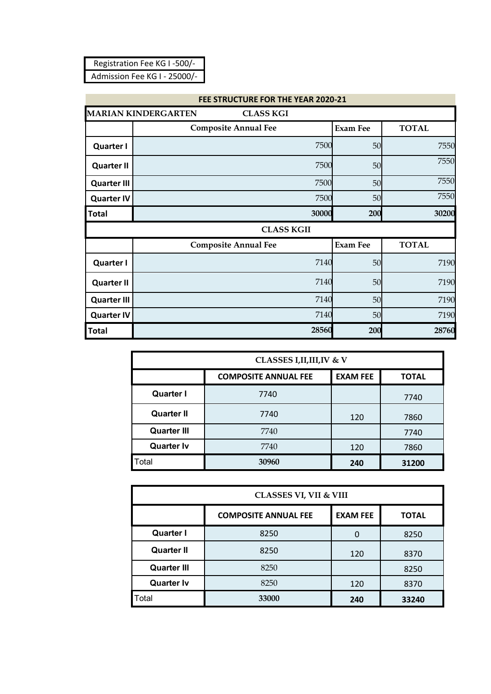| Registration Fee KG I-500/-  |
|------------------------------|
| Admission Fee KG I - 25000/- |

|                    | FEE STRUCTURE FOR THE YEAR 2020-21             |                 |              |  |
|--------------------|------------------------------------------------|-----------------|--------------|--|
|                    | <b>MARIAN KINDERGARTEN</b><br><b>CLASS KGI</b> |                 |              |  |
|                    | <b>Composite Annual Fee</b>                    | <b>Exam Fee</b> | <b>TOTAL</b> |  |
| <b>Quarter I</b>   | 7500                                           | 50              | 7550         |  |
| <b>Quarter II</b>  | 7500                                           | 50              | 7550         |  |
| <b>Quarter III</b> | 7500                                           | 50              | 7550         |  |
| <b>Quarter IV</b>  | 7500                                           | 50              | 7550         |  |
| <b>Total</b>       | 30000                                          | 200             | 30200        |  |
|                    | <b>CLASS KGII</b>                              |                 |              |  |
|                    | <b>Composite Annual Fee</b>                    | <b>Exam Fee</b> | <b>TOTAL</b> |  |
| <b>Quarter I</b>   | 7140                                           | 50              | 7190         |  |
| <b>Quarter II</b>  | 7140                                           | 50              | 7190         |  |
| <b>Quarter III</b> | 7140                                           | 50              | 7190         |  |
| <b>Quarter IV</b>  | 7140                                           | 50              | 7190         |  |
| Total              | 28560                                          | 200             | 28760        |  |

| <b>CLASSES I, II, III, IV &amp; V</b> |                                                                |     |       |  |
|---------------------------------------|----------------------------------------------------------------|-----|-------|--|
|                                       | <b>EXAM FEE</b><br><b>COMPOSITE ANNUAL FEE</b><br><b>TOTAL</b> |     |       |  |
| <b>Quarter I</b>                      | 7740                                                           |     | 7740  |  |
| <b>Quarter II</b>                     | 7740                                                           | 120 | 7860  |  |
| <b>Quarter III</b>                    | 7740                                                           |     | 7740  |  |
| <b>Quarter Iv</b>                     | 7740                                                           | 120 | 7860  |  |
| Total                                 | 30960                                                          | 240 | 31200 |  |

|                    | <b>CLASSES VI, VII &amp; VIII</b> |                 |              |  |
|--------------------|-----------------------------------|-----------------|--------------|--|
|                    | <b>COMPOSITE ANNUAL FEE</b>       | <b>EXAM FEE</b> | <b>TOTAL</b> |  |
| <b>Quarter I</b>   | 8250                              | 0               | 8250         |  |
| <b>Quarter II</b>  | 8250                              | 120             | 8370         |  |
| <b>Quarter III</b> | 8250                              |                 | 8250         |  |
| <b>Quarter Iv</b>  | 8250                              | 120             | 8370         |  |
| Total              | 33000                             | 240             | 33240        |  |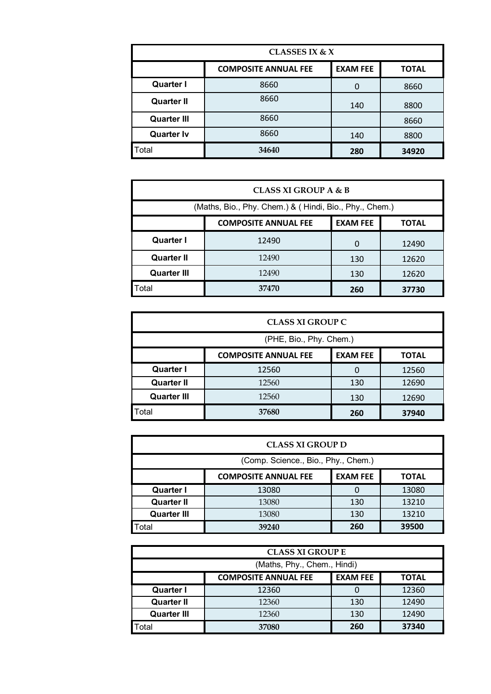| CLASSES IX & $X$   |                             |                 |              |
|--------------------|-----------------------------|-----------------|--------------|
|                    | <b>COMPOSITE ANNUAL FEE</b> | <b>EXAM FEE</b> | <b>TOTAL</b> |
| <b>Quarter I</b>   | 8660                        | O               | 8660         |
| <b>Quarter II</b>  | 8660                        | 140             | 8800         |
| <b>Quarter III</b> | 8660                        |                 | 8660         |
| <b>Quarter Iv</b>  | 8660                        | 140             | 8800         |
| Total              | 34640                       | 280             | 34920        |

| <b>CLASS XI GROUP A &amp; B</b>                        |                                                                |     |       |  |
|--------------------------------------------------------|----------------------------------------------------------------|-----|-------|--|
| (Maths, Bio., Phy. Chem.) & (Hindi, Bio., Phy., Chem.) |                                                                |     |       |  |
|                                                        | <b>EXAM FEE</b><br><b>COMPOSITE ANNUAL FEE</b><br><b>TOTAL</b> |     |       |  |
| <b>Quarter I</b>                                       | 12490                                                          | 0   | 12490 |  |
| <b>Quarter II</b>                                      | 12490                                                          | 130 | 12620 |  |
| <b>Quarter III</b>                                     | 12490                                                          | 130 | 12620 |  |
| Total                                                  | 37470<br>260<br>37730                                          |     |       |  |

| <b>CLASS XI GROUP C</b>                     |                                                                |     |       |
|---------------------------------------------|----------------------------------------------------------------|-----|-------|
| (PHE, Bio., Phy. Chem.)                     |                                                                |     |       |
|                                             | <b>EXAM FEE</b><br><b>COMPOSITE ANNUAL FEE</b><br><b>TOTAL</b> |     |       |
| <b>Quarter I</b>                            | 12560                                                          | O   | 12560 |
| <b>Quarter II</b>                           | 12560                                                          | 130 | 12690 |
| <b>Quarter III</b><br>12560<br>130<br>12690 |                                                                |     |       |
| Total                                       | 37680                                                          | 260 | 37940 |

| <b>CLASS XI GROUP D</b>                                        |                       |     |       |  |
|----------------------------------------------------------------|-----------------------|-----|-------|--|
| (Comp. Science., Bio., Phy., Chem.)                            |                       |     |       |  |
| <b>EXAM FEE</b><br><b>COMPOSITE ANNUAL FEE</b><br><b>TOTAL</b> |                       |     |       |  |
| <b>Quarter I</b>                                               | 13080                 |     | 13080 |  |
| <b>Quarter II</b>                                              | 13080                 | 130 | 13210 |  |
| <b>Quarter III</b>                                             | 13080                 | 130 | 13210 |  |
| otal                                                           | 260<br>39500<br>39240 |     |       |  |

| <b>CLASS XI GROUP E</b>                     |                                                                |     |       |  |
|---------------------------------------------|----------------------------------------------------------------|-----|-------|--|
| (Maths, Phy., Chem., Hindi)                 |                                                                |     |       |  |
|                                             | <b>EXAM FEE</b><br><b>COMPOSITE ANNUAL FEE</b><br><b>TOTAL</b> |     |       |  |
| <b>Quarter I</b>                            | 12360                                                          |     | 12360 |  |
| <b>Quarter II</b>                           | 12360                                                          | 130 | 12490 |  |
| 12490<br>130<br><b>Quarter III</b><br>12360 |                                                                |     |       |  |
| <b>Total</b>                                | 37080                                                          | 260 | 37340 |  |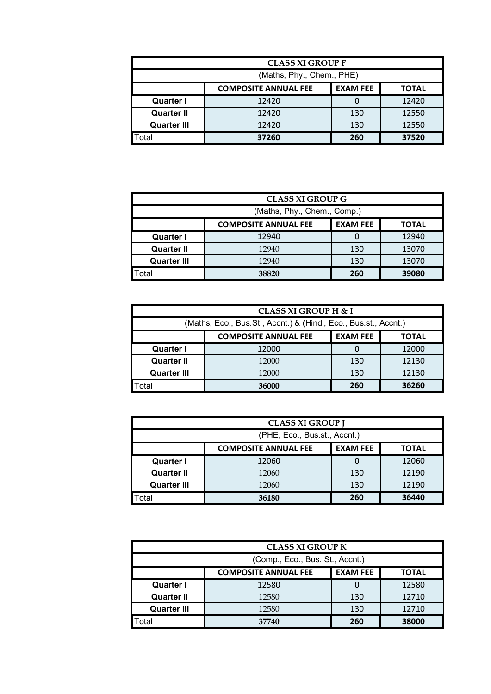| <b>CLASS XI GROUP F</b>        |                                                                |     |       |  |
|--------------------------------|----------------------------------------------------------------|-----|-------|--|
| (Maths, Phy., Chem., PHE)      |                                                                |     |       |  |
|                                | <b>EXAM FEE</b><br><b>COMPOSITE ANNUAL FEE</b><br><b>TOTAL</b> |     |       |  |
| <b>Quarter I</b>               | 12420                                                          |     | 12420 |  |
| <b>Quarter II</b>              | 12420                                                          | 130 | 12550 |  |
| <b>Quarter III</b>             | 12420                                                          | 130 | 12550 |  |
| Total<br>37260<br>37520<br>260 |                                                                |     |       |  |

| <b>CLASS XI GROUP G</b>                     |                                                                |     |       |
|---------------------------------------------|----------------------------------------------------------------|-----|-------|
| (Maths, Phy., Chem., Comp.)                 |                                                                |     |       |
|                                             | <b>EXAM FEE</b><br><b>COMPOSITE ANNUAL FEE</b><br><b>TOTAL</b> |     |       |
| <b>Quarter I</b>                            | 12940                                                          |     | 12940 |
| <b>Quarter II</b>                           | 12940                                                          | 130 | 13070 |
| <b>Quarter III</b><br>13070<br>12940<br>130 |                                                                |     |       |
| Total                                       | 38820<br>260<br>39080                                          |     |       |

| <b>CLASS XI GROUP H &amp; I</b>                                 |                                                                |     |       |  |
|-----------------------------------------------------------------|----------------------------------------------------------------|-----|-------|--|
| (Maths, Eco., Bus.St., Accnt.) & (Hindi, Eco., Bus.st., Accnt.) |                                                                |     |       |  |
|                                                                 | <b>EXAM FEE</b><br><b>COMPOSITE ANNUAL FEE</b><br><b>TOTAL</b> |     |       |  |
| <b>Quarter I</b>                                                | 12000                                                          |     | 12000 |  |
| <b>Quarter II</b>                                               | 12000                                                          | 130 | 12130 |  |
| <b>Quarter III</b>                                              | 12130<br>130<br>12000                                          |     |       |  |
| Total                                                           | 260<br>36260<br>36000                                          |     |       |  |

| <b>CLASS XI GROUP J</b>      |                                                                |     |       |
|------------------------------|----------------------------------------------------------------|-----|-------|
| (PHE, Eco., Bus.st., Accnt.) |                                                                |     |       |
|                              | <b>EXAM FEE</b><br><b>COMPOSITE ANNUAL FEE</b><br><b>TOTAL</b> |     |       |
| <b>Quarter I</b>             | 12060                                                          |     | 12060 |
| <b>Quarter II</b>            | 12060                                                          | 130 | 12190 |
| <b>Quarter III</b>           | 12060                                                          | 130 | 12190 |
| Total                        | 36180                                                          | 260 | 36440 |

| <b>CLASS XI GROUP K</b>         |                                                                |     |       |
|---------------------------------|----------------------------------------------------------------|-----|-------|
| (Comp., Eco., Bus. St., Accnt.) |                                                                |     |       |
|                                 | <b>EXAM FEE</b><br><b>COMPOSITE ANNUAL FEE</b><br><b>TOTAL</b> |     |       |
| <b>Quarter I</b>                | 12580                                                          |     | 12580 |
| <b>Quarter II</b>               | 12580                                                          | 130 | 12710 |
| <b>Quarter III</b>              | 12580                                                          | 130 | 12710 |
| Total                           | 37740                                                          | 260 | 38000 |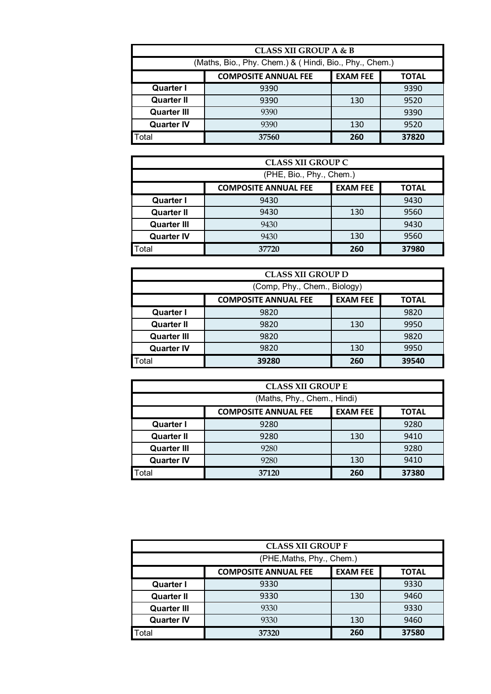| <b>CLASS XII GROUP A &amp; B</b> |                                                         |     |       |
|----------------------------------|---------------------------------------------------------|-----|-------|
|                                  | (Maths, Bio., Phy. Chem.) & (Hindi, Bio., Phy., Chem.)  |     |       |
|                                  | <b>EXAM FEE</b><br><b>COMPOSITE ANNUAL FEE</b><br>TOTAL |     |       |
| <b>Quarter I</b>                 | 9390                                                    |     | 9390  |
| <b>Quarter II</b>                | 9390                                                    | 130 | 9520  |
| <b>Quarter III</b>               | 9390                                                    |     | 9390  |
| <b>Quarter IV</b>                | 9390                                                    | 130 | 9520  |
| Total                            | 37560                                                   | 260 | 37820 |

| <b>CLASS XII GROUP C</b> |                                                                |     |       |
|--------------------------|----------------------------------------------------------------|-----|-------|
| (PHE, Bio., Phy., Chem.) |                                                                |     |       |
|                          | <b>COMPOSITE ANNUAL FEE</b><br><b>EXAM FEE</b><br><b>TOTAL</b> |     |       |
| <b>Quarter I</b>         | 9430                                                           |     | 9430  |
| <b>Quarter II</b>        | 9430                                                           | 130 | 9560  |
| <b>Quarter III</b>       | 9430                                                           |     | 9430  |
| <b>Quarter IV</b>        | 9430                                                           | 130 | 9560  |
| Total                    | 37720                                                          | 260 | 37980 |

| <b>CLASS XII GROUP D</b>     |                                                                |     |       |
|------------------------------|----------------------------------------------------------------|-----|-------|
| (Comp, Phy., Chem., Biology) |                                                                |     |       |
|                              | <b>EXAM FEE</b><br><b>COMPOSITE ANNUAL FEE</b><br><b>TOTAL</b> |     |       |
| <b>Quarter I</b>             | 9820                                                           |     | 9820  |
| <b>Quarter II</b>            | 9820                                                           | 130 | 9950  |
| <b>Quarter III</b>           | 9820                                                           |     | 9820  |
| <b>Quarter IV</b>            | 9820                                                           | 130 | 9950  |
| Total                        | 39280                                                          | 260 | 39540 |

| <b>CLASS XII GROUP E</b> |                                                                |     |       |
|--------------------------|----------------------------------------------------------------|-----|-------|
|                          | (Maths, Phy., Chem., Hindi)                                    |     |       |
|                          | <b>EXAM FEE</b><br><b>COMPOSITE ANNUAL FEE</b><br><b>TOTAL</b> |     |       |
| <b>Quarter I</b>         | 9280                                                           |     | 9280  |
| <b>Quarter II</b>        | 9280                                                           | 130 | 9410  |
| <b>Quarter III</b>       | 9280                                                           |     | 9280  |
| <b>Quarter IV</b>        | 9280                                                           | 130 | 9410  |
| Total                    | 37120                                                          | 260 | 37380 |

| <b>CLASS XII GROUP F</b>  |                                                                |     |       |
|---------------------------|----------------------------------------------------------------|-----|-------|
| (PHE, Maths, Phy., Chem.) |                                                                |     |       |
|                           | <b>EXAM FEE</b><br><b>COMPOSITE ANNUAL FEE</b><br><b>TOTAL</b> |     |       |
| <b>Quarter I</b>          | 9330                                                           |     | 9330  |
| <b>Quarter II</b>         | 9330                                                           | 130 | 9460  |
| <b>Quarter III</b>        | 9330                                                           |     | 9330  |
| <b>Quarter IV</b>         | 9330                                                           | 130 | 9460  |
| <b>Total</b>              | 37320                                                          | 260 | 37580 |